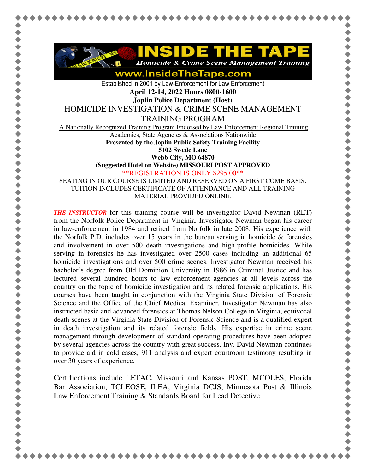

**Homicide & Crime Scene Management Training** 

www.InsideTheTape.com

Established in 2001 by Law-Enforcement for Law Enforcement **April 12-14, 2022 Hours 0800-1600** 

**Joplin Police Department (Host)** 

HOMICIDE INVESTIGATION & CRIME SCENE MANAGEMENT

TRAINING PROGRAM

A Nationally Recognized Training Program Endorsed by Law Enforcement Regional Training

Academies, State Agencies & Associations Nationwide

**Presented by the Joplin Public Safety Training Facility** 

**5102 Swede Lane** 

**Webb City, MO 64870** 

**(Suggested Hotel on Website) MISSOURI POST APPROVED**

\*\*REGISTRATION IS ONLY \$295.00\*\*

SEATING IN OUR COURSE IS LIMITED AND RESERVED ON A FIRST COME BASIS. TUITION INCLUDES CERTIFICATE OF ATTENDANCE AND ALL TRAINING MATERIAL PROVIDED ONLINE.

*THE INSTRUCTOR* for this training course will be investigator David Newman (RET) from the Norfolk Police Department in Virginia. Investigator Newman began his career in law-enforcement in 1984 and retired from Norfolk in late 2008. His experience with the Norfolk P.D. includes over 15 years in the bureau serving in homicide  $\&$  forensics and involvement in over 500 death investigations and high-profile homicides. While serving in forensics he has investigated over 2500 cases including an additional 65 homicide investigations and over 500 crime scenes. Investigator Newman received his bachelor's degree from Old Dominion University in 1986 in Criminal Justice and has lectured several hundred hours to law enforcement agencies at all levels across the country on the topic of homicide investigation and its related forensic applications. His courses have been taught in conjunction with the Virginia State Division of Forensic Science and the Office of the Chief Medical Examiner. Investigator Newman has also instructed basic and advanced forensics at Thomas Nelson College in Virginia, equivocal death scenes at the Virginia State Division of Forensic Science and is a qualified expert in death investigation and its related forensic fields. His expertise in crime scene management through development of standard operating procedures have been adopted by several agencies across the country with great success. Inv. David Newman continues to provide aid in cold cases, 911 analysis and expert courtroom testimony resulting in over 30 years of experience.

Certifications include LETAC, Missouri and Kansas POST, MCOLES, Florida Bar Association, TCLEOSE, ILEA, Virginia DCJS, Minnesota Post & Illinois Law Enforcement Training & Standards Board for Lead Detective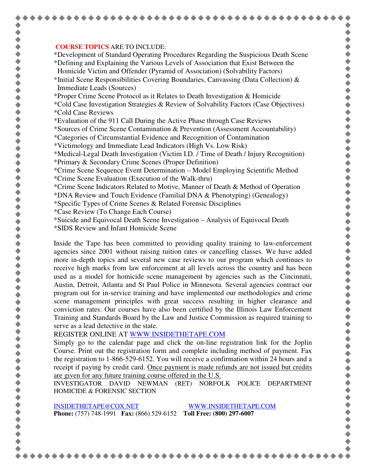## **COURSE TOPICS** ARE TO INCLUDE:

\*Development of Standard Operating Procedures Regarding the Suspicious Death Scene \*Defining and Explaining the Various Levels of Association that Exist Between the Homicide Victim and Offender (Pyramid of Association) (Solvability Factors)

\*Initial Scene Responsibilities Covering Boundaries, Canvassing (Data Collection)  $\&$ Immediate Leads (Sources)

\*Proper Crime Scene Protocol as it Relates to Death Investigation & Homicide

- \*Cold Case Investigation Strategies & Review of Solvability Factors (Case Objectives) \*Cold Case Reviews
- \*Evaluation of the 911 Call During the Active Phase through Case Reviews

\*Sources of Crime Scene Contamination & Prevention (Assessment Accountability)

- \*Categories of Circumstantial Evidence and Recognition of Contamination
- \*Victimology and Immediate Lead Indicators (High Vs. Low Risk)

\*Medical-Legal Death Investigation (Victim I.D. / Time of Death / Injury Recognition)

- \*Primary & Secondary Crime Scenes (Proper Definition)
- \*Crime Scene Sequence Event Determination Model Employing Scientific Method \*Crime Scene Evaluation (Execution of the Walk-thru)
- \*Crime Scene Indicators Related to Motive, Manner of Death & Method of Operation

\*DNA Review and Touch Evidence (Familial DNA & Phenotyping) (Genealogy)

- \*Specific Types of Crime Scenes & Related Forensic Disciplines
- \*Case Review (To Change Each Course)
- \*Suicide and Equivocal Death Scene Investigation Analysis of Equivocal Death
- \*SIDS Review and Infant Homicide Scene

Inside the Tape has been committed to providing quality training to law-enforcement agencies since 2001 without raising tuition rates or cancelling classes. We have added more in-depth topics and several new case reviews to our program which continues to receive high marks from law enforcement at all levels across the country and has been used as a model for homicide scene management by agencies such as the Cincinnati, Austin, Detroit, Atlanta and St Paul Police in Minnesota. Several agencies contract our program out for in-service training and have implemented our methodologies and crime scene management principles with great success resulting in higher clearance and conviction rates. Our courses have also been certified by the Illinois Law Enforcement Training and Standards Board by the Law and Justice Commission as required training to serve as a lead detective in the state.

REGISTER ONLINE AT WWW.INSIDETHETAPE.COM

Simply go to the calendar page and click the on-line registration link for the Joplin Course. Print out the registration form and complete including method of payment. Fax the registration to 1-866-529-6152. You will receive a confirmation within 24 hours and a receipt if paying by credit card. Once payment is made refunds are not issued but credits are given for any future training course offered in the U.S.

INVESTIGATOR DAVID NEWMAN (RET) NORFOLK POLICE DEPARTMENT HOMICIDE & FORENSIC SECTION

INSIDETHETAPE@COX.NET WWW.INSIDETHETAPE.COM **Phone:** (757) 748-1991 **Fax:** (866) 529-6152 **Toll Free: (800) 297-6007**